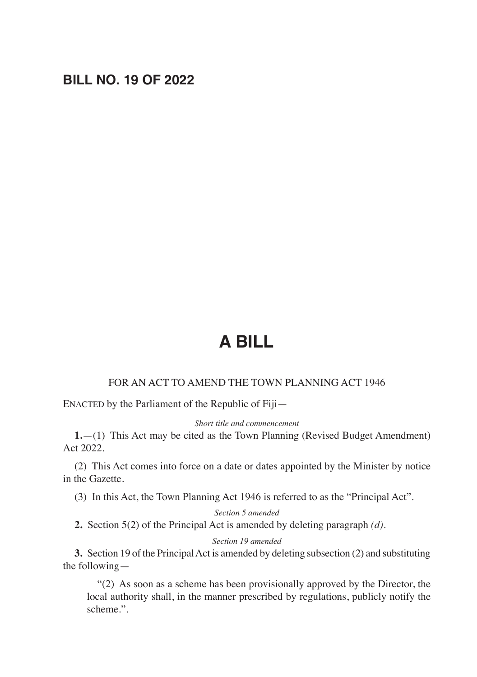# **BILL NO. 19 OF 2022**

# **A BILL**

# FOR AN ACT TO AMEND THE TOWN PLANNING ACT 1946

ENACTED by the Parliament of the Republic of Fiji—

#### *Short title and commencement*

**1.**—(1) This Act may be cited as the Town Planning (Revised Budget Amendment) Act 2022.

(2) This Act comes into force on a date or dates appointed by the Minister by notice in the Gazette.

(3) In this Act, the Town Planning Act 1946 is referred to as the "Principal Act".

*Section 5 amended*

**2.** Section 5(2) of the Principal Act is amended by deleting paragraph *(d)*.

*Section 19 amended*

**3.** Section 19 of the Principal Act is amended by deleting subsection (2) and substituting the following—

"(2) As soon as a scheme has been provisionally approved by the Director, the local authority shall, in the manner prescribed by regulations, publicly notify the scheme.".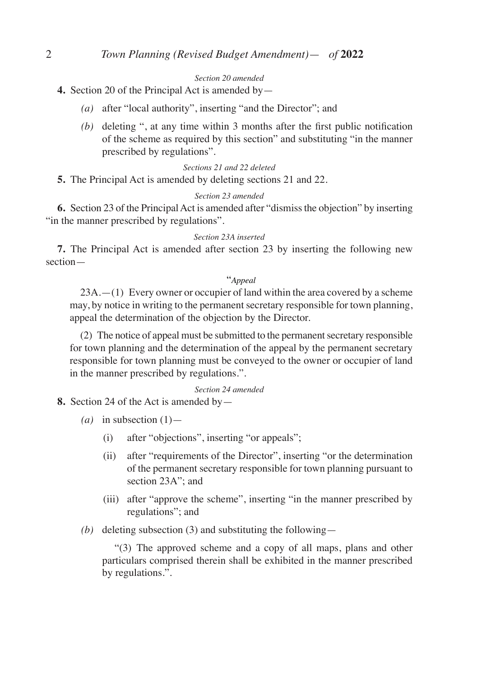#### *Section 20 amended*

- **4.** Section 20 of the Principal Act is amended by—
	- *(a)* after "local authority", inserting "and the Director"; and
	- *(b)* deleting ", at any time within 3 months after the first public notification of the scheme as required by this section" and substituting "in the manner prescribed by regulations".

# *Sections 21 and 22 deleted*

**5.** The Principal Act is amended by deleting sections 21 and 22.

#### *Section 23 amended*

**6.** Section 23 of the Principal Act is amended after "dismiss the objection" by inserting "in the manner prescribed by regulations".

#### *Section 23A inserted*

**7.** The Principal Act is amended after section 23 by inserting the following new section—

#### "*Appeal*

23A.—(1) Every owner or occupier of land within the area covered by a scheme may, by notice in writing to the permanent secretary responsible for town planning, appeal the determination of the objection by the Director.

(2) The notice of appeal must be submitted to the permanent secretary responsible for town planning and the determination of the appeal by the permanent secretary responsible for town planning must be conveyed to the owner or occupier of land in the manner prescribed by regulations.".

#### *Section 24 amended*

## **8.** Section 24 of the Act is amended by—

- $(a)$  in subsection  $(1)$ 
	- (i) after "objections", inserting "or appeals";
	- (ii) after "requirements of the Director", inserting "or the determination of the permanent secretary responsible for town planning pursuant to section 23A"; and
	- (iii) after "approve the scheme", inserting "in the manner prescribed by regulations"; and
- *(b)* deleting subsection (3) and substituting the following—

 "(3) The approved scheme and a copy of all maps, plans and other particulars comprised therein shall be exhibited in the manner prescribed by regulations.".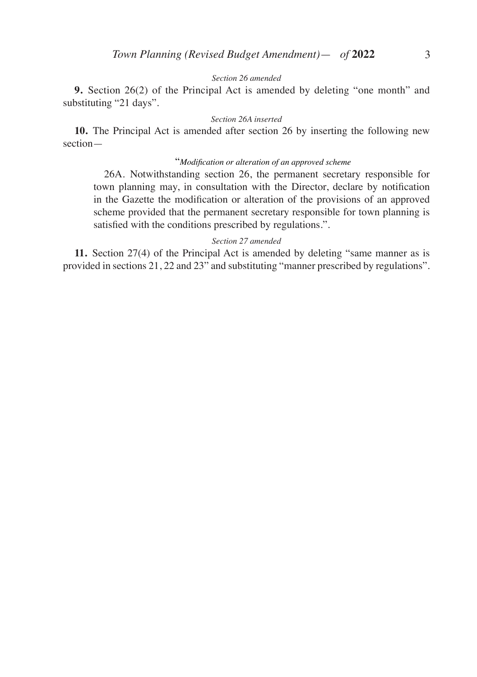## *Section 26 amended*

**9.** Section 26(2) of the Principal Act is amended by deleting "one month" and substituting "21 days".

#### *Section 26A inserted*

**10.** The Principal Act is amended after section 26 by inserting the following new section—

# "*Modification or alteration of an approved scheme*

26A. Notwithstanding section 26, the permanent secretary responsible for town planning may, in consultation with the Director, declare by notification in the Gazette the modification or alteration of the provisions of an approved scheme provided that the permanent secretary responsible for town planning is satisfied with the conditions prescribed by regulations.".

#### *Section 27 amended*

**11.** Section 27(4) of the Principal Act is amended by deleting "same manner as is provided in sections 21, 22 and 23" and substituting "manner prescribed by regulations".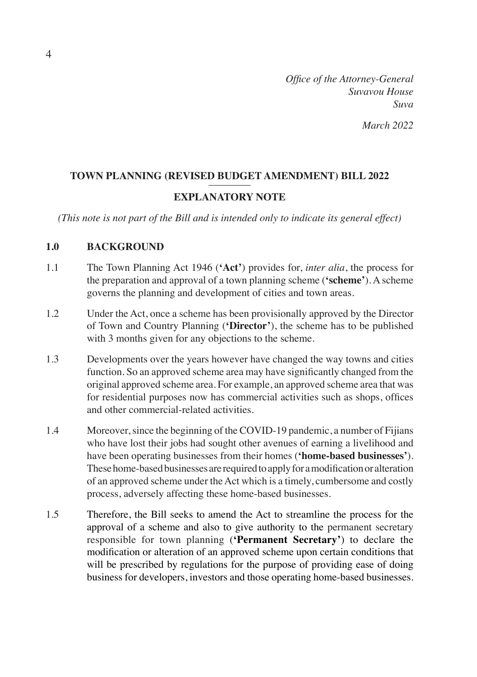*Office of the Attorney-General Suvavou House Suva March 2022*

# **TOWN PLANNING (REVISED BUDGET AMENDMENT) BILL 2022 EXPLANATORY NOTE**

*(This note is not part of the Bill and is intended only to indicate its general effect)*

# **1.0 BACKGROUND**

- 1.1 The Town Planning Act 1946 (**'Act'**) provides for, *inter alia*, the process for the preparation and approval of a town planning scheme (**'scheme'**). A scheme governs the planning and development of cities and town areas.
- 1.2 Under the Act, once a scheme has been provisionally approved by the Director of Town and Country Planning (**'Director'**), the scheme has to be published with 3 months given for any objections to the scheme.
- 1.3 Developments over the years however have changed the way towns and cities function. So an approved scheme area may have significantly changed from the original approved scheme area. For example, an approved scheme area that was for residential purposes now has commercial activities such as shops, offices and other commercial-related activities.
- 1.4 Moreover, since the beginning of the COVID-19 pandemic, a number of Fijians who have lost their jobs had sought other avenues of earning a livelihood and have been operating businesses from their homes (**'home-based businesses'**). These home-based businesses are required to apply for a modification or alteration of an approved scheme under the Act which is a timely, cumbersome and costly process, adversely affecting these home-based businesses.
- 1.5 Therefore, the Bill seeks to amend the Act to streamline the process for the approval of a scheme and also to give authority to the permanent secretary responsible for town planning (**'Permanent Secretary'**) to declare the modification or alteration of an approved scheme upon certain conditions that will be prescribed by regulations for the purpose of providing ease of doing business for developers, investors and those operating home-based businesses.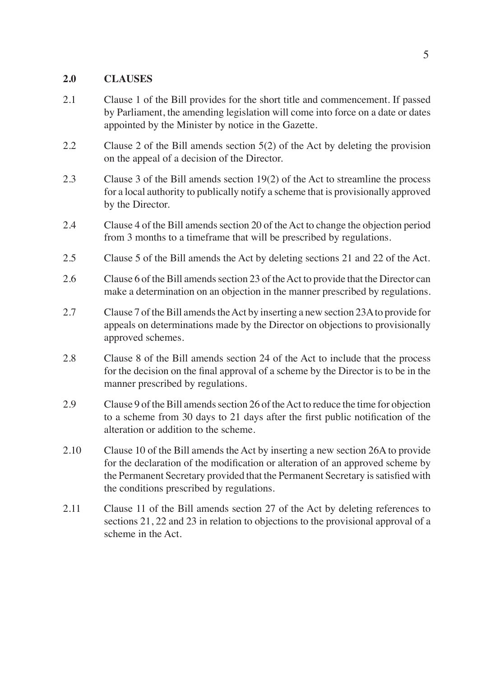# **2.0 CLAUSES**

- 2.1 Clause 1 of the Bill provides for the short title and commencement. If passed by Parliament, the amending legislation will come into force on a date or dates appointed by the Minister by notice in the Gazette.
- 2.2 Clause 2 of the Bill amends section 5(2) of the Act by deleting the provision on the appeal of a decision of the Director.
- 2.3 Clause 3 of the Bill amends section 19(2) of the Act to streamline the process for a local authority to publically notify a scheme that is provisionally approved by the Director.
- 2.4 Clause 4 of the Bill amends section 20 of the Act to change the objection period from 3 months to a timeframe that will be prescribed by regulations.
- 2.5 Clause 5 of the Bill amends the Act by deleting sections 21 and 22 of the Act.
- 2.6 Clause 6 of the Bill amends section 23 of the Act to provide that the Director can make a determination on an objection in the manner prescribed by regulations.
- 2.7 Clause 7 of the Bill amends the Act by inserting a new section 23A to provide for appeals on determinations made by the Director on objections to provisionally approved schemes.
- 2.8 Clause 8 of the Bill amends section 24 of the Act to include that the process for the decision on the final approval of a scheme by the Director is to be in the manner prescribed by regulations.
- 2.9 Clause 9 of the Bill amends section 26 of the Act to reduce the time for objection to a scheme from 30 days to 21 days after the first public notification of the alteration or addition to the scheme.
- 2.10 Clause 10 of the Bill amends the Act by inserting a new section 26A to provide for the declaration of the modification or alteration of an approved scheme by the Permanent Secretary provided that the Permanent Secretary is satisfied with the conditions prescribed by regulations.
- 2.11 Clause 11 of the Bill amends section 27 of the Act by deleting references to sections 21, 22 and 23 in relation to objections to the provisional approval of a scheme in the Act.